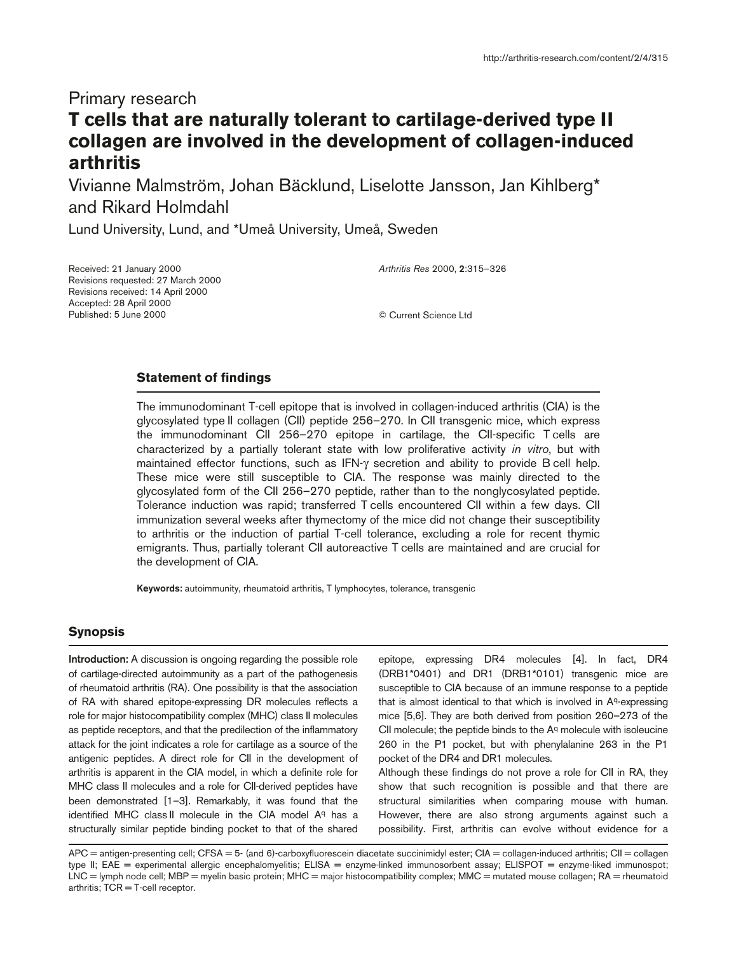# Primary research

# **T cells that are naturally tolerant to cartilage-derived type II collagen are involved in the development of collagen-induced arthritis**

Vivianne Malmström, Johan Bäcklund, Liselotte Jansson, Jan Kihlberg\* and Rikard Holmdahl

Lund University, Lund, and \*Umeå University, Umeå, Sweden

Received: 21 January 2000 Revisions requested: 27 March 2000 Revisions received: 14 April 2000 Accepted: 28 April 2000 Published: 5 June 2000

*Arthritis Res* 2000, **2**:315–326

© Current Science Ltd

# **Statement of findings**

The immunodominant T-cell epitope that is involved in collagen-induced arthritis (CIA) is the glycosylated type II collagen (CII) peptide 256–270. In CII transgenic mice, which express the immunodominant CII 256–270 epitope in cartilage, the CII-specific T cells are characterized by a partially tolerant state with low proliferative activity *in vitro*, but with maintained effector functions, such as IFN-γ secretion and ability to provide B cell help. These mice were still susceptible to CIA. The response was mainly directed to the glycosylated form of the CII 256–270 peptide, rather than to the nonglycosylated peptide. Tolerance induction was rapid; transferred T cells encountered CII within a few days. CII immunization several weeks after thymectomy of the mice did not change their susceptibility to arthritis or the induction of partial T-cell tolerance, excluding a role for recent thymic emigrants. Thus, partially tolerant CII autoreactive T cells are maintained and are crucial for the development of CIA.

**Keywords:** autoimmunity, rheumatoid arthritis, T lymphocytes, tolerance, transgenic

# **Synopsis**

**Introduction:** A discussion is ongoing regarding the possible role of cartilage-directed autoimmunity as a part of the pathogenesis of rheumatoid arthritis (RA). One possibility is that the association of RA with shared epitope-expressing DR molecules reflects a role for major histocompatibility complex (MHC) class II molecules as peptide receptors, and that the predilection of the inflammatory attack for the joint indicates a role for cartilage as a source of the antigenic peptides. A direct role for CII in the development of arthritis is apparent in the CIA model, in which a definite role for MHC class II molecules and a role for CII-derived peptides have been demonstrated [1–3]. Remarkably, it was found that the identified MHC class II molecule in the CIA model Aq has a structurally similar peptide binding pocket to that of the shared

epitope, expressing DR4 molecules [4]. In fact, DR4 (DRB1\*0401) and DR1 (DRB1\*0101) transgenic mice are susceptible to CIA because of an immune response to a peptide that is almost identical to that which is involved in  $A<sup>q</sup>$ -expressing mice [5,6]. They are both derived from position 260–273 of the CII molecule; the peptide binds to the Aq molecule with isoleucine 260 in the P1 pocket, but with phenylalanine 263 in the P1 pocket of the DR4 and DR1 molecules.

Although these findings do not prove a role for CII in RA, they show that such recognition is possible and that there are structural similarities when comparing mouse with human. However, there are also strong arguments against such a possibility. First, arthritis can evolve without evidence for a

APC = antigen-presenting cell; CFSA = 5- (and 6)-carboxyfluorescein diacetate succinimidyl ester; CIA = collagen-induced arthritis; CII = collagen type II; EAE = experimental allergic encephalomyelitis; ELISA = enzyme-linked immunosorbent assay; ELISPOT = enzyme-liked immunospot; LNC = lymph node cell; MBP = myelin basic protein; MHC = major histocompatibility complex; MMC = mutated mouse collagen; RA = rheumatoid arthritis; TCR = T-cell receptor.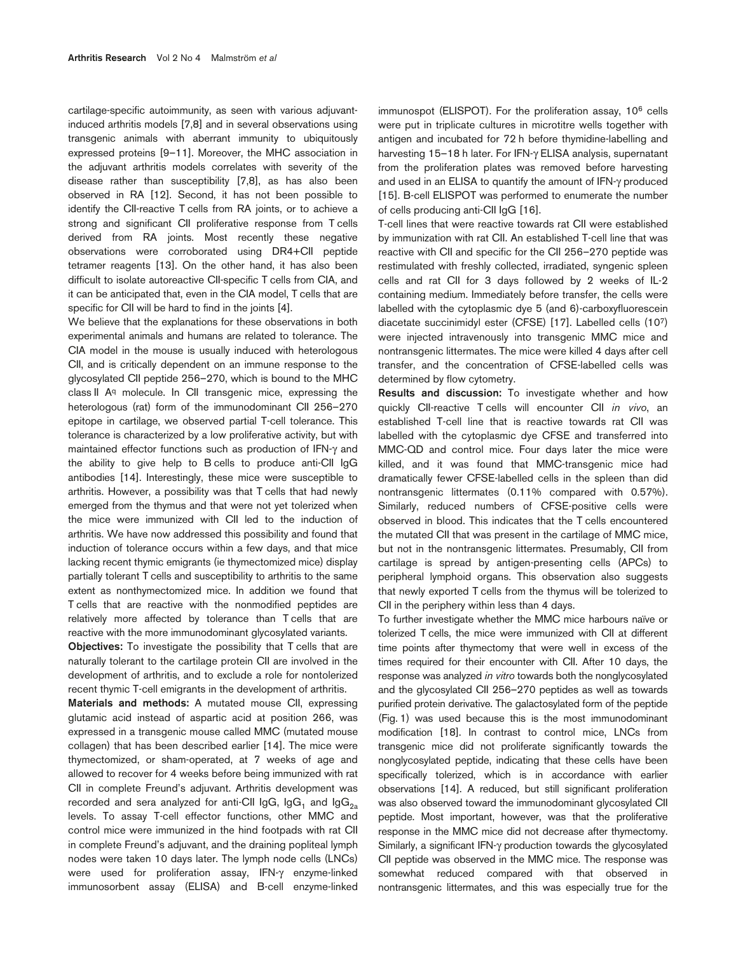cartilage-specific autoimmunity, as seen with various adjuvantinduced arthritis models [7,8] and in several observations using transgenic animals with aberrant immunity to ubiquitously expressed proteins [9–11]. Moreover, the MHC association in the adjuvant arthritis models correlates with severity of the disease rather than susceptibility [7,8], as has also been observed in RA [12]. Second, it has not been possible to identify the CII-reactive T cells from RA joints, or to achieve a strong and significant CII proliferative response from T cells derived from RA joints. Most recently these negative observations were corroborated using DR4+CII peptide tetramer reagents [13]. On the other hand, it has also been difficult to isolate autoreactive CII-specific T cells from CIA, and it can be anticipated that, even in the CIA model, T cells that are specific for CII will be hard to find in the joints [4].

We believe that the explanations for these observations in both experimental animals and humans are related to tolerance. The CIA model in the mouse is usually induced with heterologous CII, and is critically dependent on an immune response to the glycosylated CII peptide 256–270, which is bound to the MHC class II Aq molecule. In CII transgenic mice, expressing the heterologous (rat) form of the immunodominant CII 256–270 epitope in cartilage, we observed partial T-cell tolerance. This tolerance is characterized by a low proliferative activity, but with maintained effector functions such as production of IFN-γ and the ability to give help to B cells to produce anti-CII IgG antibodies [14]. Interestingly, these mice were susceptible to arthritis. However, a possibility was that T cells that had newly emerged from the thymus and that were not yet tolerized when the mice were immunized with CII led to the induction of arthritis. We have now addressed this possibility and found that induction of tolerance occurs within a few days, and that mice lacking recent thymic emigrants (ie thymectomized mice) display partially tolerant T cells and susceptibility to arthritis to the same extent as nonthymectomized mice. In addition we found that T cells that are reactive with the nonmodified peptides are relatively more affected by tolerance than T cells that are reactive with the more immunodominant glycosylated variants.

**Objectives:** To investigate the possibility that T cells that are naturally tolerant to the cartilage protein CII are involved in the development of arthritis, and to exclude a role for nontolerized recent thymic T-cell emigrants in the development of arthritis.

**Materials and methods:** A mutated mouse CII, expressing glutamic acid instead of aspartic acid at position 266, was expressed in a transgenic mouse called MMC (mutated mouse collagen) that has been described earlier [14]. The mice were thymectomized, or sham-operated, at 7 weeks of age and allowed to recover for 4 weeks before being immunized with rat CII in complete Freund's adjuvant. Arthritis development was recorded and sera analyzed for anti-CII IgG, IgG<sub>1</sub> and IgG<sub>2</sub>. levels. To assay T-cell effector functions, other MMC and control mice were immunized in the hind footpads with rat CII in complete Freund's adjuvant, and the draining popliteal lymph nodes were taken 10 days later. The lymph node cells (LNCs) were used for proliferation assay, IFN-γ enzyme-linked immunosorbent assay (ELISA) and B-cell enzyme-linked immunospot (ELISPOT). For the proliferation assay, 10<sup>6</sup> cells were put in triplicate cultures in microtitre wells together with antigen and incubated for 72 h before thymidine-labelling and harvesting 15–18 h later. For IFN-γ ELISA analysis, supernatant from the proliferation plates was removed before harvesting and used in an ELISA to quantify the amount of IFN-γ produced [15]. B-cell ELISPOT was performed to enumerate the number of cells producing anti-CII IgG [16].

T-cell lines that were reactive towards rat CII were established by immunization with rat CII. An established T-cell line that was reactive with CII and specific for the CII 256–270 peptide was restimulated with freshly collected, irradiated, syngenic spleen cells and rat CII for 3 days followed by 2 weeks of IL-2 containing medium. Immediately before transfer, the cells were labelled with the cytoplasmic dye 5 (and 6)-carboxyfluorescein diacetate succinimidyl ester (CFSE) [17]. Labelled cells (107) were injected intravenously into transgenic MMC mice and nontransgenic littermates. The mice were killed 4 days after cell transfer, and the concentration of CFSE-labelled cells was determined by flow cytometry.

**Results and discussion:** To investigate whether and how quickly CII-reactive T cells will encounter CII *in vivo*, an established T-cell line that is reactive towards rat CII was labelled with the cytoplasmic dye CFSE and transferred into MMC-QD and control mice. Four days later the mice were killed, and it was found that MMC-transgenic mice had dramatically fewer CFSE-labelled cells in the spleen than did nontransgenic littermates (0.11% compared with 0.57%). Similarly, reduced numbers of CFSE-positive cells were observed in blood. This indicates that the T cells encountered the mutated CII that was present in the cartilage of MMC mice, but not in the nontransgenic littermates. Presumably, CII from cartilage is spread by antigen-presenting cells (APCs) to peripheral lymphoid organs. This observation also suggests that newly exported T cells from the thymus will be tolerized to CII in the periphery within less than 4 days.

To further investigate whether the MMC mice harbours naïve or tolerized T cells, the mice were immunized with CII at different time points after thymectomy that were well in excess of the times required for their encounter with CII. After 10 days, the response was analyzed *in vitro* towards both the nonglycosylated and the glycosylated CII 256–270 peptides as well as towards purified protein derivative. The galactosylated form of the peptide (Fig. 1) was used because this is the most immunodominant modification [18]. In contrast to control mice, LNCs from transgenic mice did not proliferate significantly towards the nonglycosylated peptide, indicating that these cells have been specifically tolerized, which is in accordance with earlier observations [14]. A reduced, but still significant proliferation was also observed toward the immunodominant glycosylated CII peptide. Most important, however, was that the proliferative response in the MMC mice did not decrease after thymectomy. Similarly, a significant IFN-γ production towards the glycosylated CII peptide was observed in the MMC mice. The response was somewhat reduced compared with that observed in nontransgenic littermates, and this was especially true for the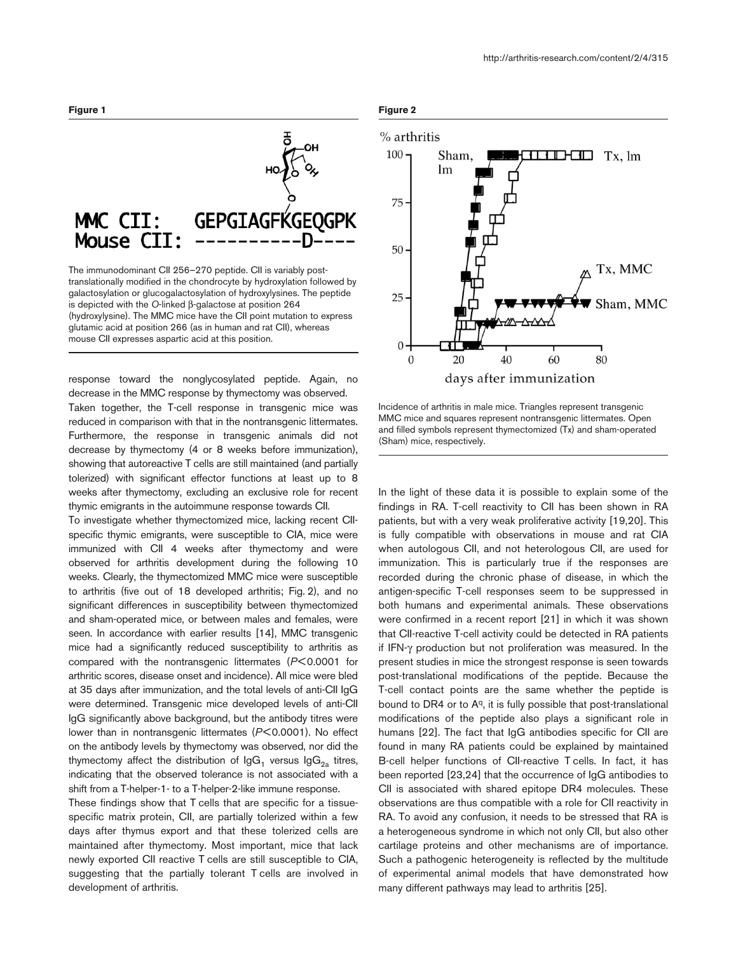

The immunodominant CII 256–270 peptide. CII is variably posttranslationally modified in the chondrocyte by hydroxylation followed by galactosylation or glucogalactosylation of hydroxylysines. The peptide is depicted with the *O*-linked β-galactose at position 264 (hydroxylysine). The MMC mice have the CII point mutation to express glutamic acid at position 266 (as in human and rat CII), whereas mouse CII expresses aspartic acid at this position.

response toward the nonglycosylated peptide. Again, no decrease in the MMC response by thymectomy was observed. Taken together, the T-cell response in transgenic mice was reduced in comparison with that in the nontransgenic littermates. Furthermore, the response in transgenic animals did not decrease by thymectomy (4 or 8 weeks before immunization), showing that autoreactive T cells are still maintained (and partially tolerized) with significant effector functions at least up to 8 weeks after thymectomy, excluding an exclusive role for recent thymic emigrants in the autoimmune response towards CII.

To investigate whether thymectomized mice, lacking recent CIIspecific thymic emigrants, were susceptible to CIA, mice were immunized with CII 4 weeks after thymectomy and were observed for arthritis development during the following 10 weeks. Clearly, the thymectomized MMC mice were susceptible to arthritis (five out of 18 developed arthritis; Fig. 2), and no significant differences in susceptibility between thymectomized and sham-operated mice, or between males and females, were seen. In accordance with earlier results [14], MMC transgenic mice had a significantly reduced susceptibility to arthritis as compared with the nontransgenic littermates (*P*<0.0001 for arthritic scores, disease onset and incidence). All mice were bled at 35 days after immunization, and the total levels of anti-CII IgG were determined. Transgenic mice developed levels of anti-CII IgG significantly above background, but the antibody titres were lower than in nontransgenic littermates (*P*<0.0001). No effect on the antibody levels by thymectomy was observed, nor did the thymectomy affect the distribution of  $\lg G_1$  versus  $\lg G_{2a}$  titres, indicating that the observed tolerance is not associated with a shift from a T-helper-1- to a T-helper-2-like immune response.

These findings show that T cells that are specific for a tissuespecific matrix protein, CII, are partially tolerized within a few days after thymus export and that these tolerized cells are maintained after thymectomy. Most important, mice that lack newly exported CII reactive T cells are still susceptible to CIA, suggesting that the partially tolerant T cells are involved in development of arthritis.





Incidence of arthritis in male mice. Triangles represent transgenic MMC mice and squares represent nontransgenic littermates. Open and filled symbols represent thymectomized (Tx) and sham-operated (Sham) mice, respectively.

In the light of these data it is possible to explain some of the findings in RA. T-cell reactivity to CII has been shown in RA patients, but with a very weak proliferative activity [19,20]. This is fully compatible with observations in mouse and rat CIA when autologous CII, and not heterologous CII, are used for immunization. This is particularly true if the responses are recorded during the chronic phase of disease, in which the antigen-specific T-cell responses seem to be suppressed in both humans and experimental animals. These observations were confirmed in a recent report [21] in which it was shown that CII-reactive T-cell activity could be detected in RA patients if IFN-γ production but not proliferation was measured. In the present studies in mice the strongest response is seen towards post-translational modifications of the peptide. Because the T-cell contact points are the same whether the peptide is bound to DR4 or to Aq, it is fully possible that post-translational modifications of the peptide also plays a significant role in humans [22]. The fact that IgG antibodies specific for CII are found in many RA patients could be explained by maintained B-cell helper functions of CII-reactive T cells. In fact, it has been reported [23,24] that the occurrence of IgG antibodies to CII is associated with shared epitope DR4 molecules. These observations are thus compatible with a role for CII reactivity in RA. To avoid any confusion, it needs to be stressed that RA is a heterogeneous syndrome in which not only CII, but also other cartilage proteins and other mechanisms are of importance. Such a pathogenic heterogeneity is reflected by the multitude of experimental animal models that have demonstrated how many different pathways may lead to arthritis [25].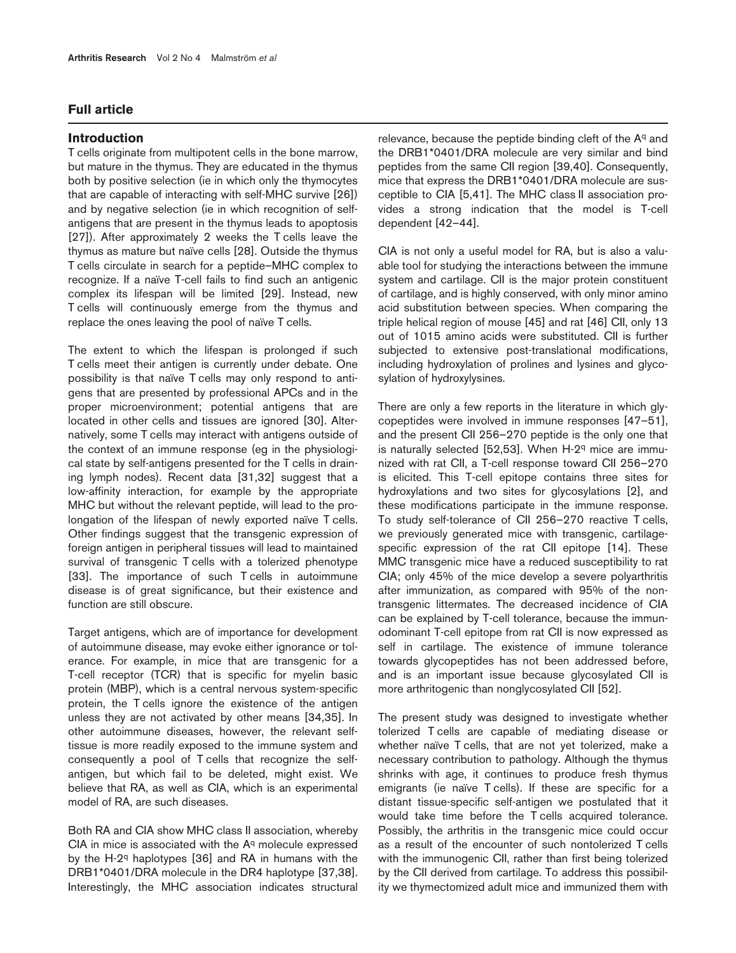# **Full article**

# **Introduction**

T cells originate from multipotent cells in the bone marrow, but mature in the thymus. They are educated in the thymus both by positive selection (ie in which only the thymocytes that are capable of interacting with self-MHC survive [26]) and by negative selection (ie in which recognition of selfantigens that are present in the thymus leads to apoptosis [27]). After approximately 2 weeks the T cells leave the thymus as mature but naïve cells [28]. Outside the thymus T cells circulate in search for a peptide–MHC complex to recognize. If a naïve T-cell fails to find such an antigenic complex its lifespan will be limited [29]. Instead, new T cells will continuously emerge from the thymus and replace the ones leaving the pool of naïve T cells.

The extent to which the lifespan is prolonged if such T cells meet their antigen is currently under debate. One possibility is that naïve T cells may only respond to antigens that are presented by professional APCs and in the proper microenvironment; potential antigens that are located in other cells and tissues are ignored [30]. Alternatively, some T cells may interact with antigens outside of the context of an immune response (eg in the physiological state by self-antigens presented for the T cells in draining lymph nodes). Recent data [31,32] suggest that a low-affinity interaction, for example by the appropriate MHC but without the relevant peptide, will lead to the prolongation of the lifespan of newly exported naïve T cells. Other findings suggest that the transgenic expression of foreign antigen in peripheral tissues will lead to maintained survival of transgenic T cells with a tolerized phenotype [33]. The importance of such T cells in autoimmune disease is of great significance, but their existence and function are still obscure.

Target antigens, which are of importance for development of autoimmune disease, may evoke either ignorance or tolerance. For example, in mice that are transgenic for a T-cell receptor (TCR) that is specific for myelin basic protein (MBP), which is a central nervous system-specific protein, the T cells ignore the existence of the antigen unless they are not activated by other means [34,35]. In other autoimmune diseases, however, the relevant selftissue is more readily exposed to the immune system and consequently a pool of T cells that recognize the selfantigen, but which fail to be deleted, might exist. We believe that RA, as well as CIA, which is an experimental model of RA, are such diseases.

Both RA and CIA show MHC class II association, whereby  $CIA$  in mice is associated with the  $A<sup>q</sup>$  molecule expressed by the H-2q haplotypes [36] and RA in humans with the DRB1\*0401/DRA molecule in the DR4 haplotype [37,38]. Interestingly, the MHC association indicates structural

relevance, because the peptide binding cleft of the Aq and the DRB1\*0401/DRA molecule are very similar and bind peptides from the same CII region [39,40]. Consequently, mice that express the DRB1\*0401/DRA molecule are susceptible to CIA [5,41]. The MHC class II association provides a strong indication that the model is T-cell dependent [42–44].

CIA is not only a useful model for RA, but is also a valuable tool for studying the interactions between the immune system and cartilage. CII is the major protein constituent of cartilage, and is highly conserved, with only minor amino acid substitution between species. When comparing the triple helical region of mouse [45] and rat [46] CII, only 13 out of 1015 amino acids were substituted. CII is further subjected to extensive post-translational modifications, including hydroxylation of prolines and lysines and glycosylation of hydroxylysines.

There are only a few reports in the literature in which glycopeptides were involved in immune responses [47–51], and the present CII 256–270 peptide is the only one that is naturally selected [52,53]. When H-2q mice are immunized with rat CII, a T-cell response toward CII 256–270 is elicited. This T-cell epitope contains three sites for hydroxylations and two sites for glycosylations [2], and these modifications participate in the immune response. To study self-tolerance of CII 256–270 reactive T cells, we previously generated mice with transgenic, cartilagespecific expression of the rat CII epitope [14]. These MMC transgenic mice have a reduced susceptibility to rat CIA; only 45% of the mice develop a severe polyarthritis after immunization, as compared with 95% of the nontransgenic littermates. The decreased incidence of CIA can be explained by T-cell tolerance, because the immunodominant T-cell epitope from rat CII is now expressed as self in cartilage. The existence of immune tolerance towards glycopeptides has not been addressed before, and is an important issue because glycosylated CII is more arthritogenic than nonglycosylated CII [52].

The present study was designed to investigate whether tolerized T cells are capable of mediating disease or whether naïve T cells, that are not yet tolerized, make a necessary contribution to pathology. Although the thymus shrinks with age, it continues to produce fresh thymus emigrants (ie naïve T cells). If these are specific for a distant tissue-specific self-antigen we postulated that it would take time before the T cells acquired tolerance. Possibly, the arthritis in the transgenic mice could occur as a result of the encounter of such nontolerized T cells with the immunogenic CII, rather than first being tolerized by the CII derived from cartilage. To address this possibility we thymectomized adult mice and immunized them with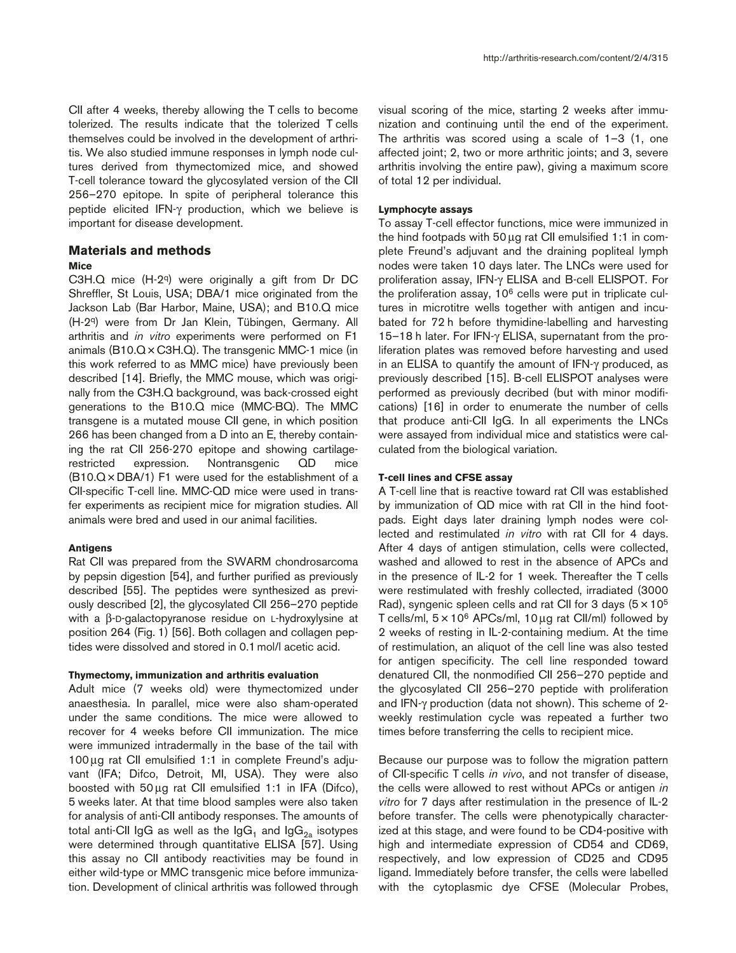CII after 4 weeks, thereby allowing the T cells to become tolerized. The results indicate that the tolerized T cells themselves could be involved in the development of arthritis. We also studied immune responses in lymph node cultures derived from thymectomized mice, and showed T-cell tolerance toward the glycosylated version of the CII 256–270 epitope. In spite of peripheral tolerance this peptide elicited IFN-γ production, which we believe is important for disease development.

# **Materials and methods**

## **Mice**

C3H.Q mice (H-2q) were originally a gift from Dr DC Shreffler, St Louis, USA; DBA/1 mice originated from the Jackson Lab (Bar Harbor, Maine, USA); and B10.Q mice (H-2q) were from Dr Jan Klein, Tübingen, Germany. All arthritis and *in vitro* experiments were performed on F1 animals (B10.Q×C3H.Q). The transgenic MMC-1 mice (in this work referred to as MMC mice) have previously been described [14]. Briefly, the MMC mouse, which was originally from the C3H.Q background, was back-crossed eight generations to the B10.Q mice (MMC-BQ). The MMC transgene is a mutated mouse CII gene, in which position 266 has been changed from a D into an E, thereby containing the rat CII 256-270 epitope and showing cartilagerestricted expression. Nontransgenic QD mice  $(B10.Q \times DBA/1)$  F1 were used for the establishment of a CII-specific T-cell line. MMC-QD mice were used in transfer experiments as recipient mice for migration studies. All animals were bred and used in our animal facilities.

#### **Antigens**

Rat CII was prepared from the SWARM chondrosarcoma by pepsin digestion [54], and further purified as previously described [55]. The peptides were synthesized as previously described [2], the glycosylated CII 256–270 peptide with a β-D-galactopyranose residue on L-hydroxylysine at position 264 (Fig. 1) [56]. Both collagen and collagen peptides were dissolved and stored in 0.1mol/l acetic acid.

#### **Thymectomy, immunization and arthritis evaluation**

Adult mice (7 weeks old) were thymectomized under anaesthesia. In parallel, mice were also sham-operated under the same conditions. The mice were allowed to recover for 4 weeks before CII immunization. The mice were immunized intradermally in the base of the tail with 100µg rat CII emulsified 1:1 in complete Freund's adjuvant (IFA; Difco, Detroit, MI, USA). They were also boosted with 50µg rat CII emulsified 1:1 in IFA (Difco), 5 weeks later. At that time blood samples were also taken for analysis of anti-CII antibody responses. The amounts of total anti-CII IgG as well as the IgG<sub>1</sub> and IgG<sub>2a</sub> isotypes were determined through quantitative ELISA [57]. Using this assay no CII antibody reactivities may be found in either wild-type or MMC transgenic mice before immunization. Development of clinical arthritis was followed through visual scoring of the mice, starting 2 weeks after immunization and continuing until the end of the experiment. The arthritis was scored using a scale of 1–3 (1, one affected joint; 2, two or more arthritic joints; and 3, severe arthritis involving the entire paw), giving a maximum score of total 12 per individual.

#### **Lymphocyte assays**

To assay T-cell effector functions, mice were immunized in the hind footpads with 50µg rat CII emulsified 1:1 in complete Freund's adjuvant and the draining popliteal lymph nodes were taken 10 days later. The LNCs were used for proliferation assay, IFN-γ ELISA and B-cell ELISPOT. For the proliferation assay,  $10<sup>6</sup>$  cells were put in triplicate cultures in microtitre wells together with antigen and incubated for 72 h before thymidine-labelling and harvesting 15–18 h later. For IFN-γ ELISA, supernatant from the proliferation plates was removed before harvesting and used in an ELISA to quantify the amount of IFN-γ produced, as previously described [15]. B-cell ELISPOT analyses were performed as previously decribed (but with minor modifications) [16] in order to enumerate the number of cells that produce anti-CII IgG. In all experiments the LNCs were assayed from individual mice and statistics were calculated from the biological variation.

#### **T-cell lines and CFSE assay**

A T-cell line that is reactive toward rat CII was established by immunization of QD mice with rat CII in the hind footpads. Eight days later draining lymph nodes were collected and restimulated *in vitro* with rat CII for 4 days. After 4 days of antigen stimulation, cells were collected, washed and allowed to rest in the absence of APCs and in the presence of IL-2 for 1 week. Thereafter the T cells were restimulated with freshly collected, irradiated (3000 Rad), syngenic spleen cells and rat CII for 3 days  $(5 \times 10^5$ T cells/ml,  $5 \times 10^6$  APCs/ml,  $10 \mu$ g rat Cll/ml) followed by 2 weeks of resting in IL-2-containing medium. At the time of restimulation, an aliquot of the cell line was also tested for antigen specificity. The cell line responded toward denatured CII, the nonmodified CII 256–270 peptide and the glycosylated CII 256–270 peptide with proliferation and IFN-γ production (data not shown). This scheme of 2 weekly restimulation cycle was repeated a further two times before transferring the cells to recipient mice.

Because our purpose was to follow the migration pattern of CII-specific T cells *in vivo*, and not transfer of disease, the cells were allowed to rest without APCs or antigen *in vitro* for 7 days after restimulation in the presence of IL-2 before transfer. The cells were phenotypically characterized at this stage, and were found to be CD4-positive with high and intermediate expression of CD54 and CD69, respectively, and low expression of CD25 and CD95 ligand. Immediately before transfer, the cells were labelled with the cytoplasmic dye CFSE (Molecular Probes,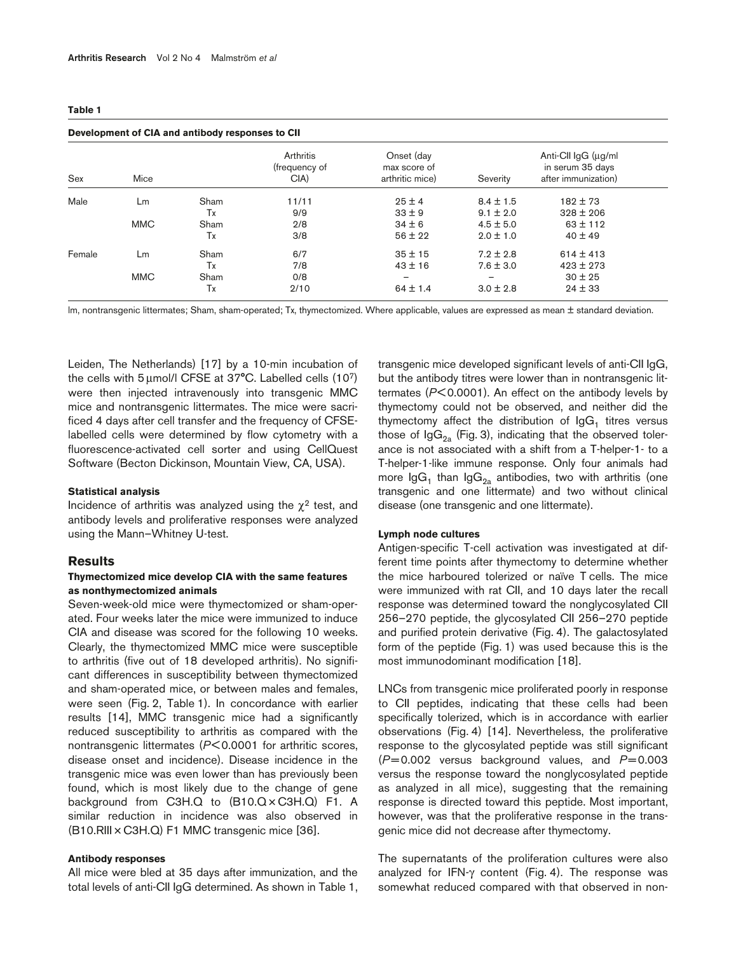| Sex    | Mice       |      | Arthritis<br>(frequency of<br>CIA) | Onset (day<br>max score of<br>arthritic mice) | Severity      | Anti-CII IgG (µg/ml<br>in serum 35 days<br>after immunization) |
|--------|------------|------|------------------------------------|-----------------------------------------------|---------------|----------------------------------------------------------------|
| Male   | Lm         | Sham | 11/11                              | $25 \pm 4$                                    | $8.4 \pm 1.5$ | $182 \pm 73$                                                   |
|        |            | Tx   | 9/9                                | $33 \pm 9$                                    | $9.1 \pm 2.0$ | $328 \pm 206$                                                  |
|        | <b>MMC</b> | Sham | 2/8                                | $34 \pm 6$                                    | $4.5 \pm 5.0$ | $63 \pm 112$                                                   |
|        |            | Tx   | 3/8                                | $56 \pm 22$                                   | $2.0 \pm 1.0$ | $40 \pm 49$                                                    |
| Female | Lm         | Sham | 6/7                                | $35 \pm 15$                                   | $7.2 \pm 2.8$ | $614 \pm 413$                                                  |
|        |            | Tx   | 7/8                                | $43 \pm 16$                                   | $7.6 \pm 3.0$ | $423 \pm 273$                                                  |
|        | <b>MMC</b> | Sham | 0/8                                |                                               |               | $30 \pm 25$                                                    |
|        |            | Tx   | 2/10                               | $64 \pm 1.4$                                  | $3.0 \pm 2.8$ | $24 \pm 33$                                                    |

lm, nontransgenic littermates; Sham, sham-operated; Tx, thymectomized. Where applicable, values are expressed as mean ± standard deviation.

Leiden, The Netherlands) [17] by a 10-min incubation of the cells with 5µmol/l CFSE at 37°C. Labelled cells (107) were then injected intravenously into transgenic MMC mice and nontransgenic littermates. The mice were sacrificed 4 days after cell transfer and the frequency of CFSElabelled cells were determined by flow cytometry with a fluorescence-activated cell sorter and using CellQuest Software (Becton Dickinson, Mountain View, CA, USA).

#### **Statistical analysis**

Incidence of arthritis was analyzed using the  $\chi^2$  test, and antibody levels and proliferative responses were analyzed using the Mann–Whitney U-test.

#### **Results**

## **Thymectomized mice develop CIA with the same features as nonthymectomized animals**

Seven-week-old mice were thymectomized or sham-operated. Four weeks later the mice were immunized to induce CIA and disease was scored for the following 10 weeks. Clearly, the thymectomized MMC mice were susceptible to arthritis (five out of 18 developed arthritis). No significant differences in susceptibility between thymectomized and sham-operated mice, or between males and females, were seen (Fig. 2, Table 1). In concordance with earlier results [14], MMC transgenic mice had a significantly reduced susceptibility to arthritis as compared with the nontransgenic littermates (*P*< 0.0001 for arthritic scores, disease onset and incidence). Disease incidence in the transgenic mice was even lower than has previously been found, which is most likely due to the change of gene background from C3H.Q to (B10.Q × C3H.Q) F1. A similar reduction in incidence was also observed in (B10.RIII × C3H.Q) F1 MMC transgenic mice [36].

#### **Antibody responses**

All mice were bled at 35 days after immunization, and the total levels of anti-CII IgG determined. As shown in Table 1,

transgenic mice developed significant levels of anti-CII IgG, but the antibody titres were lower than in nontransgenic littermates (*P*<0.0001). An effect on the antibody levels by thymectomy could not be observed, and neither did the thymectomy affect the distribution of  $\lg G_1$  titres versus those of  $\lg G_{2a}$  (Fig. 3), indicating that the observed tolerance is not associated with a shift from a T-helper-1- to a T-helper-1-like immune response. Only four animals had more  $\lg G_1$  than  $\lg G_{2a}$  antibodies, two with arthritis (one transgenic and one littermate) and two without clinical disease (one transgenic and one littermate).

#### **Lymph node cultures**

Antigen-specific T-cell activation was investigated at different time points after thymectomy to determine whether the mice harboured tolerized or naïve T cells. The mice were immunized with rat CII, and 10 days later the recall response was determined toward the nonglycosylated CII 256–270 peptide, the glycosylated CII 256–270 peptide and purified protein derivative (Fig. 4). The galactosylated form of the peptide (Fig. 1) was used because this is the most immunodominant modification [18].

LNCs from transgenic mice proliferated poorly in response to CII peptides, indicating that these cells had been specifically tolerized, which is in accordance with earlier observations (Fig. 4) [14]. Nevertheless, the proliferative response to the glycosylated peptide was still significant  $(P= 0.002$  versus background values, and  $P= 0.003$ versus the response toward the nonglycosylated peptide as analyzed in all mice), suggesting that the remaining response is directed toward this peptide. Most important, however, was that the proliferative response in the transgenic mice did not decrease after thymectomy.

The supernatants of the proliferation cultures were also analyzed for IFN- $\gamma$  content (Fig. 4). The response was somewhat reduced compared with that observed in non-

#### **Table 1**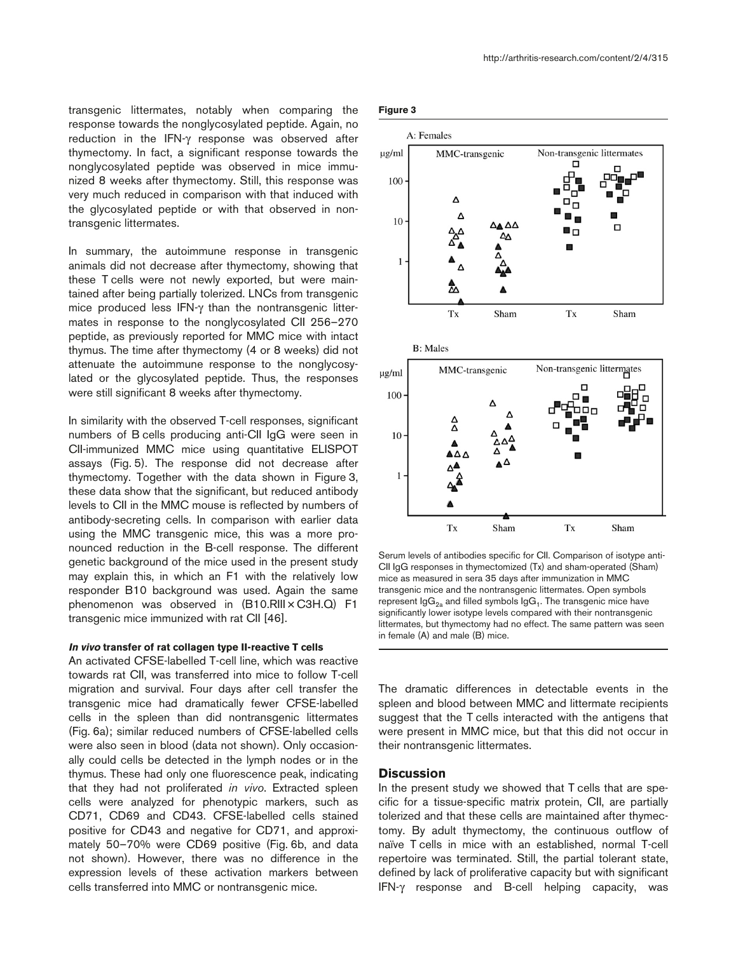transgenic littermates, notably when comparing the response towards the nonglycosylated peptide. Again, no reduction in the IFN-γ response was observed after thymectomy. In fact, a significant response towards the nonglycosylated peptide was observed in mice immunized 8 weeks after thymectomy. Still, this response was very much reduced in comparison with that induced with the glycosylated peptide or with that observed in nontransgenic littermates.

In summary, the autoimmune response in transgenic animals did not decrease after thymectomy, showing that these T cells were not newly exported, but were maintained after being partially tolerized. LNCs from transgenic mice produced less IFN-γ than the nontransgenic littermates in response to the nonglycosylated CII 256–270 peptide, as previously reported for MMC mice with intact thymus. The time after thymectomy (4 or 8 weeks) did not attenuate the autoimmune response to the nonglycosylated or the glycosylated peptide. Thus, the responses were still significant 8 weeks after thymectomy.

In similarity with the observed T-cell responses, significant numbers of B cells producing anti-CII IgG were seen in CII-immunized MMC mice using quantitative ELISPOT assays (Fig. 5). The response did not decrease after thymectomy. Together with the data shown in Figure 3, these data show that the significant, but reduced antibody levels to CII in the MMC mouse is reflected by numbers of antibody-secreting cells. In comparison with earlier data using the MMC transgenic mice, this was a more pronounced reduction in the B-cell response. The different genetic background of the mice used in the present study may explain this, in which an F1 with the relatively low responder B10 background was used. Again the same phenomenon was observed in (B10.RIII × C3H.Q) F1 transgenic mice immunized with rat CII [46].

#### **In vivo transfer of rat collagen type II-reactive T cells**

An activated CFSE-labelled T-cell line, which was reactive towards rat CII, was transferred into mice to follow T-cell migration and survival. Four days after cell transfer the transgenic mice had dramatically fewer CFSE-labelled cells in the spleen than did nontransgenic littermates (Fig. 6a); similar reduced numbers of CFSE-labelled cells were also seen in blood (data not shown). Only occasionally could cells be detected in the lymph nodes or in the thymus. These had only one fluorescence peak, indicating that they had not proliferated *in vivo*. Extracted spleen cells were analyzed for phenotypic markers, such as CD71, CD69 and CD43. CFSE-labelled cells stained positive for CD43 and negative for CD71, and approximately 50–70% were CD69 positive (Fig. 6b, and data not shown). However, there was no difference in the expression levels of these activation markers between cells transferred into MMC or nontransgenic mice.







Serum levels of antibodies specific for CII. Comparison of isotype anti-CII IgG responses in thymectomized (Tx) and sham-operated (Sham) mice as measured in sera 35 days after immunization in MMC transgenic mice and the nontransgenic littermates. Open symbols represent  $\lg G_{2a}$  and filled symbols  $\lg G_1$ . The transgenic mice have significantly lower isotype levels compared with their nontransgenic littermates, but thymectomy had no effect. The same pattern was seen in female (A) and male (B) mice.

The dramatic differences in detectable events in the spleen and blood between MMC and littermate recipients suggest that the T cells interacted with the antigens that were present in MMC mice, but that this did not occur in their nontransgenic littermates.

## **Discussion**

In the present study we showed that T cells that are specific for a tissue-specific matrix protein, CII, are partially tolerized and that these cells are maintained after thymectomy. By adult thymectomy, the continuous outflow of naïve T cells in mice with an established, normal T-cell repertoire was terminated. Still, the partial tolerant state, defined by lack of proliferative capacity but with significant IFN-γ response and B-cell helping capacity, was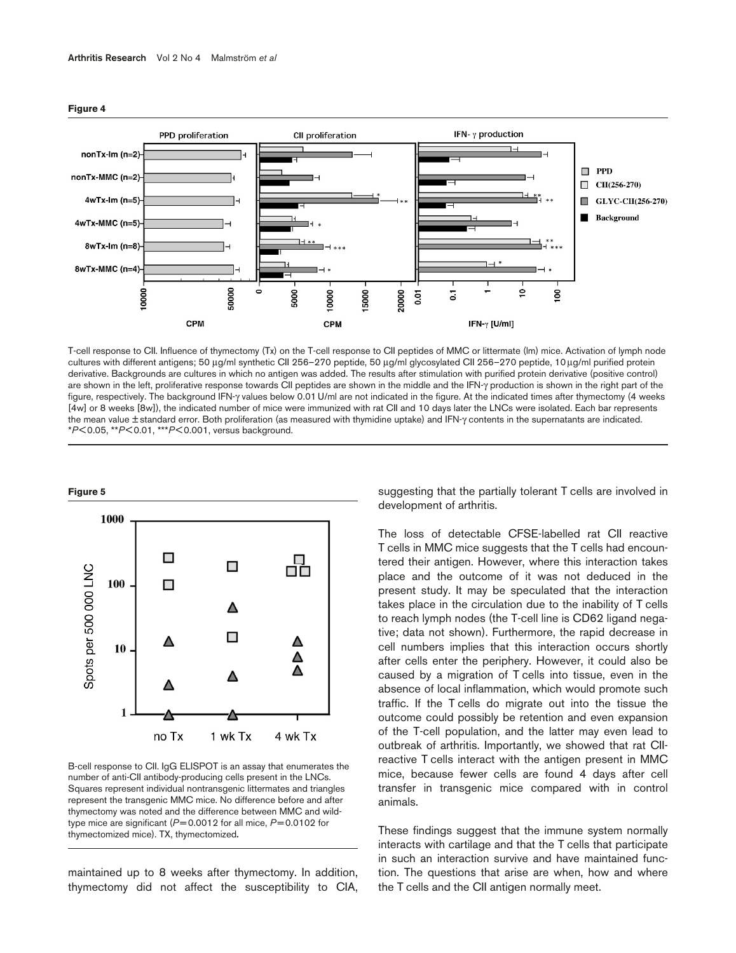

**Figure 4**

T-cell response to CII. Influence of thymectomy (Tx) on the T-cell response to CII peptides of MMC or littermate (lm) mice. Activation of lymph node cultures with different antigens; 50 µg/ml synthetic CII 256-270 peptide, 50 µg/ml glycosylated CII 256-270 peptide, 10 µg/ml purified protein derivative. Backgrounds are cultures in which no antigen was added. The results after stimulation with purified protein derivative (positive control) are shown in the left, proliferative response towards CII peptides are shown in the middle and the IFN-γ production is shown in the right part of the figure, respectively. The background IFN-γ values below 0.01 U/ml are not indicated in the figure. At the indicated times after thymectomy (4 weeks [4w] or 8 weeks [8w]), the indicated number of mice were immunized with rat CII and 10 days later the LNCs were isolated. Each bar represents the mean value ± standard error. Both proliferation (as measured with thymidine uptake) and IFN-γ contents in the supernatants are indicated. \**P*< 0.05, \*\**P*< 0.01, \*\*\**P*< 0.001, versus background.



B-cell response to CII. IgG ELISPOT is an assay that enumerates the number of anti-CII antibody-producing cells present in the LNCs. Squares represent individual nontransgenic littermates and triangles represent the transgenic MMC mice. No difference before and after thymectomy was noted and the difference between MMC and wildtype mice are significant (*P*= 0.0012 for all mice, *P*= 0.0102 for thymectomized mice). TX, thymectomized**.**

maintained up to 8 weeks after thymectomy. In addition, thymectomy did not affect the susceptibility to CIA,

suggesting that the partially tolerant T cells are involved in development of arthritis.

The loss of detectable CFSE-labelled rat CII reactive T cells in MMC mice suggests that the T cells had encountered their antigen. However, where this interaction takes place and the outcome of it was not deduced in the present study. It may be speculated that the interaction takes place in the circulation due to the inability of T cells to reach lymph nodes (the T-cell line is CD62 ligand negative; data not shown). Furthermore, the rapid decrease in cell numbers implies that this interaction occurs shortly after cells enter the periphery. However, it could also be caused by a migration of T cells into tissue, even in the absence of local inflammation, which would promote such traffic. If the T cells do migrate out into the tissue the outcome could possibly be retention and even expansion of the T-cell population, and the latter may even lead to outbreak of arthritis. Importantly, we showed that rat CIIreactive T cells interact with the antigen present in MMC mice, because fewer cells are found 4 days after cell transfer in transgenic mice compared with in control animals.

These findings suggest that the immune system normally interacts with cartilage and that the T cells that participate in such an interaction survive and have maintained function. The questions that arise are when, how and where the T cells and the CII antigen normally meet.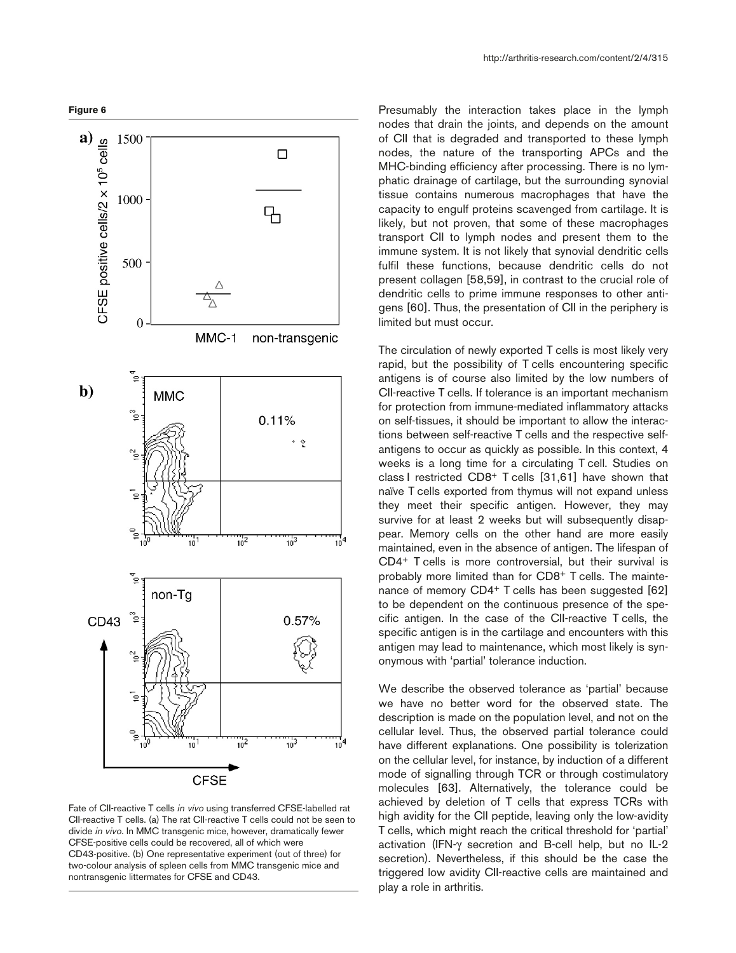

Fate of CII-reactive T cells *in vivo* using transferred CFSE-labelled rat CII-reactive T cells. (a) The rat CII-reactive T cells could not be seen to divide *in vivo*. In MMC transgenic mice, however, dramatically fewer CFSE-positive cells could be recovered, all of which were CD43-positive. (b) One representative experiment (out of three) for two-colour analysis of spleen cells from MMC transgenic mice and nontransgenic littermates for CFSE and CD43.

Presumably the interaction takes place in the lymph nodes that drain the joints, and depends on the amount of CII that is degraded and transported to these lymph nodes, the nature of the transporting APCs and the MHC-binding efficiency after processing. There is no lymphatic drainage of cartilage, but the surrounding synovial tissue contains numerous macrophages that have the capacity to engulf proteins scavenged from cartilage. It is likely, but not proven, that some of these macrophages transport CII to lymph nodes and present them to the immune system. It is not likely that synovial dendritic cells fulfil these functions, because dendritic cells do not present collagen [58,59], in contrast to the crucial role of dendritic cells to prime immune responses to other antigens [60]. Thus, the presentation of CII in the periphery is limited but must occur.

The circulation of newly exported T cells is most likely very rapid, but the possibility of T cells encountering specific antigens is of course also limited by the low numbers of CII-reactive T cells. If tolerance is an important mechanism for protection from immune-mediated inflammatory attacks on self-tissues, it should be important to allow the interactions between self-reactive T cells and the respective selfantigens to occur as quickly as possible. In this context, 4 weeks is a long time for a circulating T cell. Studies on class I restricted CD8+ T cells [31,61] have shown that naïve T cells exported from thymus will not expand unless they meet their specific antigen. However, they may survive for at least 2 weeks but will subsequently disappear. Memory cells on the other hand are more easily maintained, even in the absence of antigen. The lifespan of CD4+ T cells is more controversial, but their survival is probably more limited than for CD8+ T cells. The maintenance of memory CD4+ T cells has been suggested [62] to be dependent on the continuous presence of the specific antigen. In the case of the CII-reactive T cells, the specific antigen is in the cartilage and encounters with this antigen may lead to maintenance, which most likely is synonymous with 'partial' tolerance induction.

We describe the observed tolerance as 'partial' because we have no better word for the observed state. The description is made on the population level, and not on the cellular level. Thus, the observed partial tolerance could have different explanations. One possibility is tolerization on the cellular level, for instance, by induction of a different mode of signalling through TCR or through costimulatory molecules [63]. Alternatively, the tolerance could be achieved by deletion of T cells that express TCRs with high avidity for the CII peptide, leaving only the low-avidity T cells, which might reach the critical threshold for 'partial' activation (IFN-γ secretion and B-cell help, but no IL-2 secretion). Nevertheless, if this should be the case the triggered low avidity CII-reactive cells are maintained and play a role in arthritis.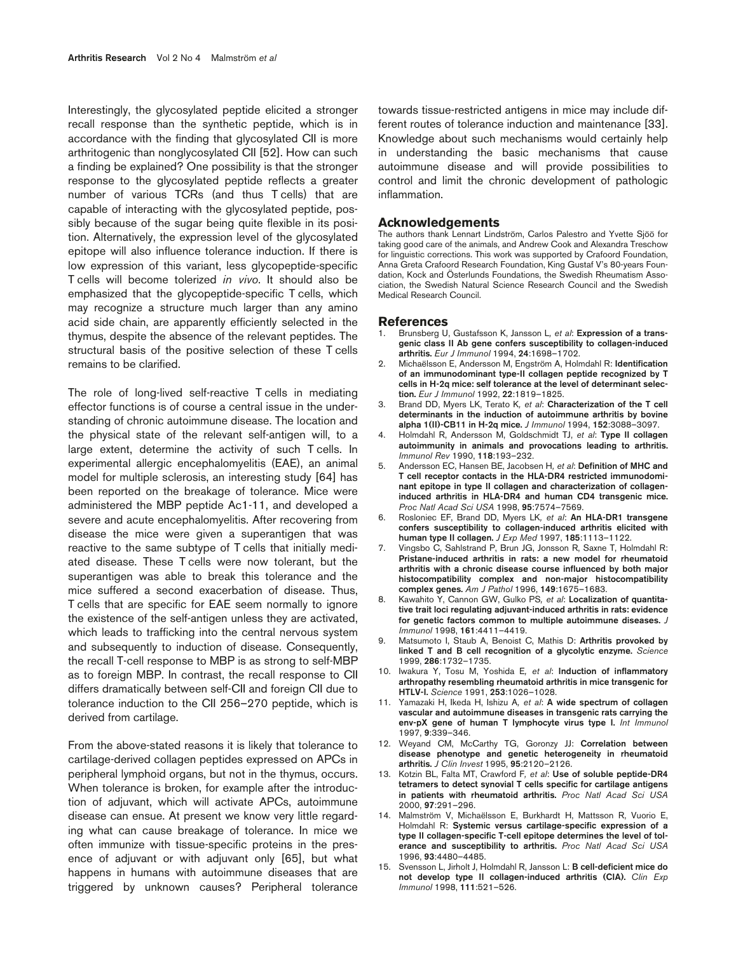Interestingly, the glycosylated peptide elicited a stronger recall response than the synthetic peptide, which is in accordance with the finding that glycosylated CII is more arthritogenic than nonglycosylated CII [52]. How can such a finding be explained? One possibility is that the stronger response to the glycosylated peptide reflects a greater number of various TCRs (and thus T cells) that are capable of interacting with the glycosylated peptide, possibly because of the sugar being quite flexible in its position. Alternatively, the expression level of the glycosylated epitope will also influence tolerance induction. If there is low expression of this variant, less glycopeptide-specific T cells will become tolerized *in vivo*. It should also be emphasized that the glycopeptide-specific T cells, which may recognize a structure much larger than any amino acid side chain, are apparently efficiently selected in the thymus, despite the absence of the relevant peptides. The structural basis of the positive selection of these T cells remains to be clarified.

The role of long-lived self-reactive T cells in mediating effector functions is of course a central issue in the understanding of chronic autoimmune disease. The location and the physical state of the relevant self-antigen will, to a large extent, determine the activity of such T cells. In experimental allergic encephalomyelitis (EAE), an animal model for multiple sclerosis, an interesting study [64] has been reported on the breakage of tolerance. Mice were administered the MBP peptide Ac1-11, and developed a severe and acute encephalomyelitis. After recovering from disease the mice were given a superantigen that was reactive to the same subtype of T cells that initially mediated disease. These T cells were now tolerant, but the superantigen was able to break this tolerance and the mice suffered a second exacerbation of disease. Thus, T cells that are specific for EAE seem normally to ignore the existence of the self-antigen unless they are activated, which leads to trafficking into the central nervous system and subsequently to induction of disease. Consequently, the recall T-cell response to MBP is as strong to self-MBP as to foreign MBP. In contrast, the recall response to CII differs dramatically between self-CII and foreign CII due to tolerance induction to the CII 256–270 peptide, which is derived from cartilage.

From the above-stated reasons it is likely that tolerance to cartilage-derived collagen peptides expressed on APCs in peripheral lymphoid organs, but not in the thymus, occurs. When tolerance is broken, for example after the introduction of adjuvant, which will activate APCs, autoimmune disease can ensue. At present we know very little regarding what can cause breakage of tolerance. In mice we often immunize with tissue-specific proteins in the presence of adjuvant or with adjuvant only [65], but what happens in humans with autoimmune diseases that are triggered by unknown causes? Peripheral tolerance

towards tissue-restricted antigens in mice may include different routes of tolerance induction and maintenance [33]. Knowledge about such mechanisms would certainly help in understanding the basic mechanisms that cause autoimmune disease and will provide possibilities to control and limit the chronic development of pathologic inflammation.

#### **Acknowledgements**

The authors thank Lennart Lindström, Carlos Palestro and Yvette Sjöö for taking good care of the animals, and Andrew Cook and Alexandra Treschow for linguistic corrections. This work was supported by Crafoord Foundation, Anna Greta Crafoord Research Foundation, King Gustaf V's 80-years Foundation, Kock and Österlunds Foundations, the Swedish Rheumatism Association, the Swedish Natural Science Research Council and the Swedish Medical Research Council.

#### **References**

- 1. Brunsberg U, Gustafsson K, Jansson L*, et al*: **Expression of a transgenic class II Ab gene confers susceptibility to collagen-induced arthritis.** *Eur J Immunol* 1994, **24**:1698–1702.
- 2. Michaëlsson E, Andersson M, Engström A, Holmdahl R: **Identification of an immunodominant type-II collagen peptide recognized by T cells in H-2q mice: self tolerance at the level of determinant selection.** *Eur J Immunol* 1992, **22**:1819–1825.
- 3. Brand DD, Myers LK, Terato K*, et al*: **Characterization of the T cell determinants in the induction of autoimmune arthritis by bovine alpha 1(II)-CB11 in H-2q mice.** *J Immunol* 1994, **152**:3088–3097.
- 4. Holmdahl R, Andersson M, Goldschmidt TJ, *et al*: **Type II collagen autoimmunity in animals and provocations leading to arthritis.** *Immunol Rev* 1990, **118**:193–232.
- 5. Andersson EC, Hansen BE, Jacobsen H*, et al*: **Definition of MHC and T cell receptor contacts in the HLA-DR4 restricted immunodominant epitope in type II collagen and characterization of collageninduced arthritis in HLA-DR4 and human CD4 transgenic mice.** *Proc Natl Acad Sci USA* 1998, **95**:7574–7569.
- 6. Rosloniec EF, Brand DD, Myers LK*, et al*: **An HLA-DR1 transgene confers susceptibility to collagen-induced arthritis elicited with human type II collagen.** *J Exp Med* 1997, **185**:1113–1122.
- 7. Vingsbo C, Sahlstrand P, Brun JG, Jonsson R, Saxne T, Holmdahl R: **Pristane-induced arthritis in rats: a new model for rheumatoid arthritis with a chronic disease course influenced by both major histocompatibility complex and non-major histocompatibility complex genes.** *Am J Pathol* 1996, **149**:1675–1683.
- 8. Kawahito Y, Cannon GW, Gulko PS*, et al*: **Localization of quantitative trait loci regulating adjuvant-induced arthritis in rats: evidence for genetic factors common to multiple autoimmune diseases.** *J Immunol* 1998, **161**:4411–4419.
- 9. Matsumoto I, Staub A, Benoist C, Mathis D: **Arthritis provoked by linked T and B cell recognition of a glycolytic enzyme.** *Science* 1999, **286**:1732–1735.
- 10. Iwakura Y, Tosu M, Yoshida E*, et al*: **Induction of inflammatory arthropathy resembling rheumatoid arthritis in mice transgenic for HTLV-I.** *Science* 1991, **253**:1026–1028.
- 11. Yamazaki H, Ikeda H, Ishizu A*, et al*: **A wide spectrum of collagen vascular and autoimmune diseases in transgenic rats carrying the env-pX gene of human T lymphocyte virus type I.** *Int Immunol* 1997, **9**:339–346.
- 12. Weyand CM, McCarthy TG, Goronzy JJ: **Correlation between disease phenotype and genetic heterogeneity in rheumatoid arthritis.** *J Clin Invest* 1995, **95**:2120–2126.
- 13. Kotzin BL, Falta MT, Crawford F*, et al*: **Use of soluble peptide-DR4 tetramers to detect synovial T cells specific for cartilage antigens in patients with rheumatoid arthritis.** *Proc Natl Acad Sci USA* 2000, **97**:291–296.
- 14. Malmström V, Michaëlsson E, Burkhardt H, Mattsson R, Vuorio E, Holmdahl R: **Systemic versus cartilage-specific expression of a type II collagen-specific T-cell epitope determines the level of tolerance and susceptibility to arthritis.** *Proc Natl Acad Sci USA* 1996, **93**:4480–4485.
- 15. Svensson L, Jirholt J, Holmdahl R, Jansson L: **B cell-deficient mice do not develop type II collagen-induced arthritis (CIA).** *Clin Exp Immunol* 1998, **111**:521–526.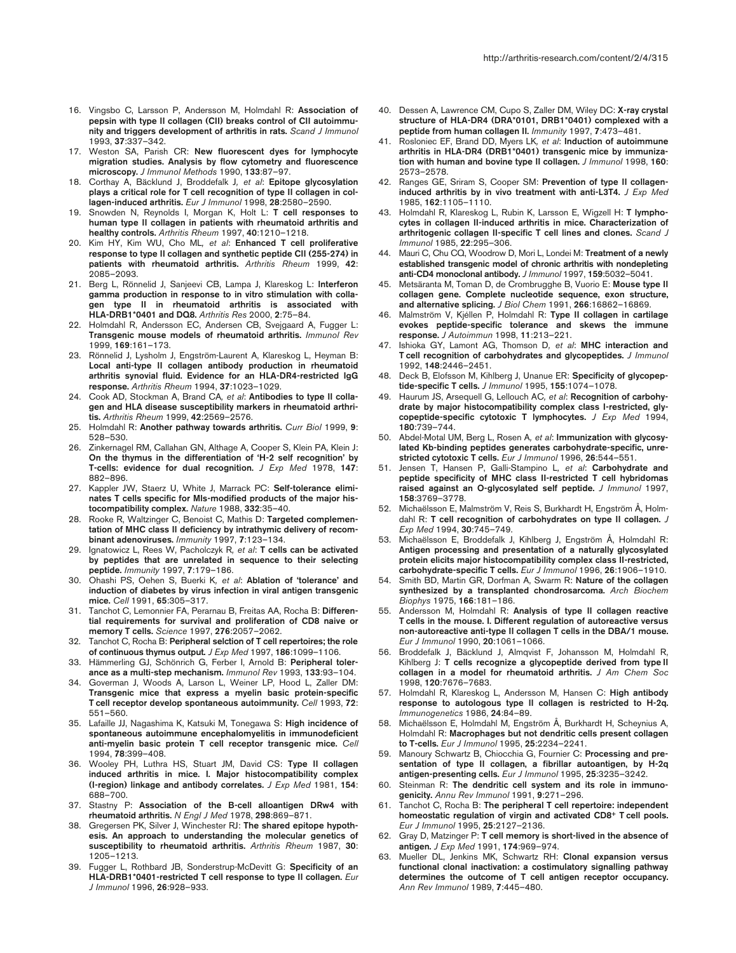- 16. Vingsbo C, Larsson P, Andersson M, Holmdahl R: **Association of pepsin with type II collagen (CII) breaks control of CII autoimmunity and triggers development of arthritis in rats.** *Scand J Immunol* 1993, **37**:337–342.
- 17. Weston SA, Parish CR: **New fluorescent dyes for lymphocyte migration studies. Analysis by flow cytometry and fluorescence microscopy.** *J Immunol Methods* 1990, **133**:87–97.
- 18. Corthay A, Bäcklund J, Broddefalk J*, et al*: **Epitope glycosylation plays a critical role for T cell recognition of type II collagen in collagen-induced arthritis.** *Eur J Immunol* 1998, **28**:2580–2590.
- 19. Snowden N, Reynolds I, Morgan K, Holt L: **T cell responses to human type II collagen in patients with rheumatoid arthritis and healthy controls.** *Arthritis Rheum* 1997, **40**:1210–1218.
- 20. Kim HY, Kim WU, Cho ML*, et al*: **Enhanced T cell proliferative response to type II collagen and synthetic peptide CII (255-274) in patients with rheumatoid arthritis.** *Arthritis Rheum* 1999, **42**: 2085–2093.
- 21. Berg L, Rönnelid J, Sanjeevi CB, Lampa J, Klareskog L: **Interferon gamma production in response to in vitro stimulation with collagen type II in rheumatoid arthritis is associated with HLA-DRB1\*0401 and DQ8.** *Arthritis Res* 2000, **2**:75–84.
- 22. Holmdahl R, Andersson EC, Andersen CB, Svejgaard A, Fugger L: **Transgenic mouse models of rheumatoid arthritis.** *Immunol Rev* 1999, **169**:161–173.
- 23. Rönnelid J, Lysholm J, Engström-Laurent A, Klareskog L, Heyman B: **Local anti-type II collagen antibody production in rheumatoid arthritis synovial fluid. Evidence for an HLA-DR4-restricted IgG response.** *Arthritis Rheum* 1994, **37**:1023–1029.
- 24. Cook AD, Stockman A, Brand CA*, et al*: **Antibodies to type II collagen and HLA disease susceptibility markers in rheumatoid arthritis.** *Arthritis Rheum* 1999, **42**:2569–2576.
- 25. Holmdahl R: **Another pathway towards arthritis.** *Curr Biol* 1999, **9**: 528–530.
- 26. Zinkernagel RM, Callahan GN, Althage A, Cooper S, Klein PA, Klein J: **On the thymus in the differentiation of 'H-2 self recognition' by T-cells: evidence for dual recognition.** *J Exp Med* 1978, **147**: 882–896.
- 27. Kappler JW, Staerz U, White J, Marrack PC: **Self-tolerance eliminates T cells specific for Mls-modified products of the major histocompatibility complex.** *Nature* 1988, **332**:35–40.
- 28. Rooke R, Waltzinger C, Benoist C, Mathis D: **Targeted complementation of MHC class II deficiency by intrathymic delivery of recombinant adenoviruses.** *Immunity* 1997, **7**:123–134.
- 29. Ignatowicz L, Rees W, Pacholczyk R*, et al*: **T cells can be activated by peptides that are unrelated in sequence to their selecting peptide.** *Immunity* 1997, **7**:179–186.
- 30. Ohashi PS, Oehen S, Buerki K*, et al*: **Ablation of 'tolerance' and induction of diabetes by virus infection in viral antigen transgenic mice.** *Cell* 1991, **65**:305–317.
- 31. Tanchot C, Lemonnier FA, Perarnau B, Freitas AA, Rocha B: **Differential requirements for survival and proliferation of CD8 naive or memory T cells.** *Science* 1997, **276**:2057–2062.
- Tanchot C, Rocha B: Peripheral selction of T cell repertoires; the role **of continuous thymus output.** *J Exp Med* 1997, **186**:1099–1106.
- 33. Hämmerling GJ, Schönrich G, Ferber I, Arnold B: **Peripheral tolerance as a multi-step mechanism.** *Immunol Rev* 1993, **133**:93–104.
- 34. Goverman J, Woods A, Larson L, Weiner LP, Hood L, Zaller DM: **Transgenic mice that express a myelin basic protein-specific T cell receptor develop spontaneous autoimmunity.** *Cell* 1993, **72**: 551–560.
- 35. Lafaille JJ, Nagashima K, Katsuki M, Tonegawa S: **High incidence of spontaneous autoimmune encephalomyelitis in immunodeficient anti-myelin basic protein T cell receptor transgenic mice.** *Cell* 1994, **78**:399–408.
- 36. Wooley PH, Luthra HS, Stuart JM, David CS: **Type II collagen induced arthritis in mice. I. Major histocompatibility complex (I-region) linkage and antibody correlates.** *J Exp Med* 1981, **154**: 688–700.
- 37. Stastny P: **Association of the B-cell alloantigen DRw4 with rheumatoid arthritis.** *N Engl J Med* 1978, **298**:869–871.
- 38. Gregersen PK, Silver J, Winchester RJ: **The shared epitope hypothesis. An approach to understanding the molecular genetics of susceptibility to rheumatoid arthritis.** *Arthritis Rheum* 1987, **30**: 1205–1213.
- 39. Fugger L, Rothbard JB, Sonderstrup-McDevitt G: **Specificity of an HLA-DRB1\*0401-restricted T cell response to type II collagen.** *Eur J Immunol* 1996, **26**:928–933.
- 40. Dessen A, Lawrence CM, Cupo S, Zaller DM, Wiley DC: **X-ray crystal structure of HLA-DR4 (DRA\*0101, DRB1\*0401) complexed with a peptide from human collagen II.** *Immunity* 1997, **7**:473–481.
- 41. Rosloniec EF, Brand DD, Myers LK*, et al*: **Induction of autoimmune arthritis in HLA-DR4 (DRB1\*0401) transgenic mice by immunization with human and bovine type II collagen.** *J Immunol* 1998, **160**: 2573–2578.
- 42. Ranges GE, Sriram S, Cooper SM: **Prevention of type II collageninduced arthritis by in vivo treatment with anti-L3T4.** *J Exp Med* 1985, **162**:1105–1110.
- 43. Holmdahl R, Klareskog L, Rubin K, Larsson E, Wigzell H: **T lymphocytes in collagen II-induced arthritis in mice. Characterization of arthritogenic collagen II-specific T cell lines and clones.** *Scand J Immunol* 1985, **22**:295–306.
- Mauri C, Chu CQ, Woodrow D, Mori L, Londei M: Treatment of a newly **established transgenic model of chronic arthritis with nondepleting anti-CD4 monoclonal antibody.** *J Immunol* 1997, **159**:5032–5041.
- 45. Metsäranta M, Toman D, de Crombrugghe B, Vuorio E: **Mouse type II collagen gene. Complete nucleotide sequence, exon structure, and alternative splicing.** *J Biol Chem* 1991, **266**:16862–16869.
- 46. Malmström V, Kjéllen P, Holmdahl R: **Type II collagen in cartilage evokes peptide-specific tolerance and skews the immune response.** *J Autoimmun* 1998, **11**:213–221.
- 47. Ishioka GY, Lamont AG, Thomson D*, et al*: **MHC interaction and T cell recognition of carbohydrates and glycopeptides.** *J Immunol* 1992, **148**:2446–2451.
- 48. Deck B, Elofsson M, Kihlberg J, Unanue ER: **Specificity of glycopeptide-specific T cells.** *J Immunol* 1995, **155**:1074–1078.
- 49. Haurum JS, Arsequell G, Lellouch AC*, et al*: **Recognition of carbohydrate by major histocompatibility complex class I-restricted, glycopeptide-specific cytotoxic T lymphocytes.** *J Exp Med* 1994, **180**:739–744.
- 50. Abdel-Motal UM, Berg L, Rosen A*, et al*: **Immunization with glycosylated Kb-binding peptides generates carbohydrate-specific, unrestricted cytotoxic T cells.** *Eur J Immunol* 1996, **26**:544–551.
- 51. Jensen T, Hansen P, Galli-Stampino L*, et al*: **Carbohydrate and peptide specificity of MHC class II-restricted T cell hybridomas raised against an O-glycosylated self peptide.** *J Immunol* 1997, **158**:3769–3778.
- 52. Michaëlsson E, Malmström V, Reis S, Burkhardt H, Engström Å, Holmdahl R: **T cell recognition of carbohydrates on type II collagen.** *J Exp Med* 1994, **30**:745–749.
- 53. Michaëlsson E, Broddefalk J, Kihlberg J, Engström Å, Holmdahl R: **Antigen processing and presentation of a naturally glycosylated protein elicits major histocompatibility complex class II-restricted, carbohydrate-specific T cells.** *Eur J Immunol* 1996, **26**:1906–1910.
- 54. Smith BD, Martin GR, Dorfman A, Swarm R: **Nature of the collagen synthesized by a transplanted chondrosarcoma.** *Arch Biochem Biophys* 1975, **166**:181–186.
- 55. Andersson M, Holmdahl R: **Analysis of type II collagen reactive T cells in the mouse. I. Different regulation of autoreactive versus non-autoreactive anti-type II collagen T cells in the DBA/1 mouse.** *Eur J Immunol* 1990, **20**:1061–1066.
- 56. Broddefalk J, Bäcklund J, Almqvist F, Johansson M, Holmdahl R, Kihlberg J: **T cells recognize a glycopeptide derived from type II collagen in a model for rheumatoid arthritis.** *J Am Chem Soc* 1998, **120**:7676–7683.
- 57. Holmdahl R, Klareskog L, Andersson M, Hansen C: **High antibody response to autologous type II collagen is restricted to H-2q.** *Immunogenetics* 1986, **24**:84–89.
- 58. Michaëlsson E, Holmdahl M, Engström Å, Burkhardt H, Scheynius A, Holmdahl R: **Macrophages but not dendritic cells present collagen to T-cells.** *Eur J Immunol* 1995, **25**:2234–2241.
- 59. Manoury Schwartz B, Chiocchia G, Fournier C: **Processing and presentation of type II collagen, a fibrillar autoantigen, by H-2q antigen-presenting cells.** *Eur J Immunol* 1995, **25**:3235–3242.
- 60. Steinman R: **The dendritic cell system and its role in immunogenicity.** *Annu Rev Immunol* 1991, **9**:271–296.
- 61. Tanchot C, Rocha B: **The peripheral T cell repertoire: independent homeostatic regulation of virgin and activated CD8+ T cell pools.** *Eur J Immunol* 1995, **25**:2127–2136.
- 62. Gray D, Matzinger P: **T cell memory is short-lived in the absence of antigen.** *J Exp Med* 1991, **174**:969–974.
- 63. Mueller DL, Jenkins MK, Schwartz RH: **Clonal expansion versus functional clonal inactivation: a costimulatory signalling pathway determines the outcome of T cell antigen receptor occupancy.** *Ann Rev Immunol* 1989, **7**:445–480.